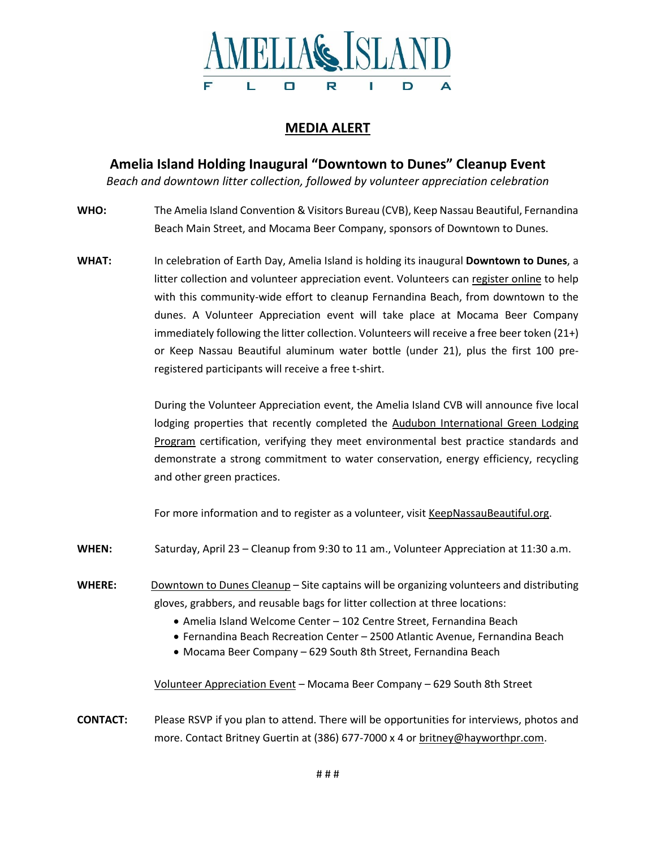

# **MEDIA ALERT**

**Amelia Island Holding Inaugural "Downtown to Dunes" Cleanup Event**

*Beach and downtown litter collection, followed by volunteer appreciation celebration*

- **WHO:** The Amelia Island Convention & Visitors Bureau (CVB), Keep Nassau Beautiful, Fernandina Beach Main Street, and Mocama Beer Company, sponsors of Downtown to Dunes.
- **WHAT:** In celebration of Earth Day, Amelia Island is holding its inaugural **Downtown to Dunes**, a litter collection and volunteer appreciation event. Volunteers can [register](https://keepnassaubeautiful.org/events/event/downtown-to-dunes-earthday-cleanup-event/) online to help with this community-wide effort to cleanup Fernandina Beach, from downtown to the dunes. A Volunteer Appreciation event will take place at Mocama Beer Company immediately following the litter collection. Volunteers will receive a free beer token (21+) or Keep Nassau Beautiful aluminum water bottle (under 21), plus the first 100 preregistered participants will receive a free t-shirt.

During the Volunteer Appreciation event, the Amelia Island CVB will announce five local lodging properties that recently completed the Audubon [International](https://auduboninternational.org/green-lodging-program/) Green Lodging [Program](https://auduboninternational.org/green-lodging-program/) certification, verifying they meet environmental best practice standards and demonstrate a strong commitment to water conservation, energy efficiency, recycling and other green practices.

For more information and to register as a volunteer, visit [KeepNassauBeautiful.org.](https://keepnassaubeautiful.org/events/event/downtown-to-dunes-earthday-cleanup-event/)

- WHEN: Saturday, April 23 Cleanup from 9:30 to 11 am., Volunteer Appreciation at 11:30 a.m.
- **WHERE:** Downtown to Dunes Cleanup Site captains will be organizing volunteers and distributing gloves, grabbers, and reusable bags for litter collection at three locations:
	- Amelia Island Welcome Center 102 Centre Street, Fernandina Beach
	- Fernandina Beach Recreation Center 2500 Atlantic Avenue, Fernandina Beach
	- Mocama Beer Company 629 South 8th Street, Fernandina Beach

Volunteer Appreciation Event – Mocama Beer Company – 629 South 8th Street

**CONTACT:** Please RSVP if you plan to attend. There will be opportunities for interviews, photos and more. Contact Britney Guertin at (386) 677-7000 x 4 or [britney@hayworthpr.com.](mailto:britney@hayworthpr.com)